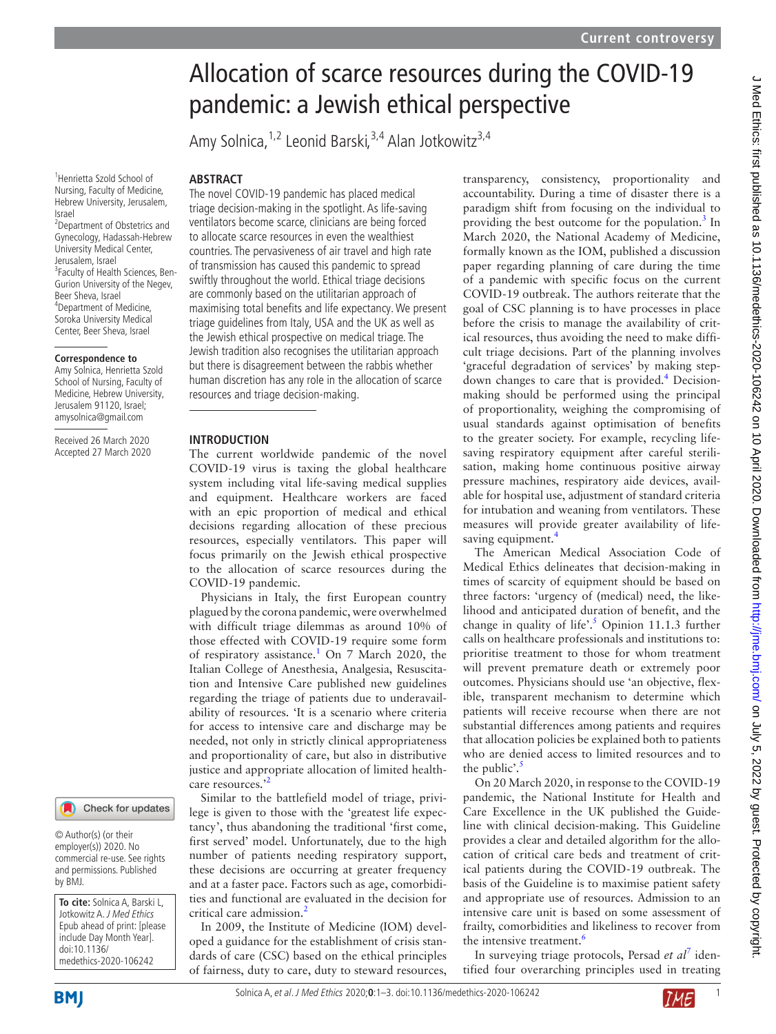# Allocation of scarce resources during the COVID-19 pandemic: a Jewish ethical perspective

Amy Solnica,  $1,2$  Leonid Barski,  $3,4$  Alan Jotkowitz<sup>3,4</sup>

1 Henrietta Szold School of Nursing, Faculty of Medicine, Hebrew University, Jerusalem, Israel

2 Department of Obstetrics and Gynecology, Hadassah-Hebrew University Medical Center, Jerusalem, Israel <sup>3</sup> Faculty of Health Sciences, Ben-Gurion University of the Negev, Beer Sheva, Israel 4 Department of Medicine, Soroka University Medical Center, Beer Sheva, Israel

## **Correspondence to**

Amy Solnica, Henrietta Szold School of Nursing, Faculty of Medicine, Hebrew University, Jerusalem 91120, Israel; amysolnica@gmail.com

Received 26 March 2020 Accepted 27 March 2020



© Author(s) (or their employer(s)) 2020. No commercial re-use. See rights and permissions. Published by BMJ.

**To cite:** Solnica A, Barski L, Jotkowitz A. J Med Ethics Epub ahead of print: [please include Day Month Year]. doi:10.1136/ medethics-2020-106242

## **Abstract**

The novel COVID-19 pandemic has placed medical triage decision-making in the spotlight. As life-saving ventilators become scarce, clinicians are being forced to allocate scarce resources in even the wealthiest countries. The pervasiveness of air travel and high rate of transmission has caused this pandemic to spread swiftly throughout the world. Ethical triage decisions are commonly based on the utilitarian approach of maximising total benefits and life expectancy. We present triage guidelines from Italy, USA and the UK as well as the Jewish ethical prospective on medical triage. The Jewish tradition also recognises the utilitarian approach but there is disagreement between the rabbis whether human discretion has any role in the allocation of scarce resources and triage decision-making.

#### **Introduction**

The current worldwide pandemic of the novel COVID-19 virus is taxing the global healthcare system including vital life-saving medical supplies and equipment. Healthcare workers are faced with an epic proportion of medical and ethical decisions regarding allocation of these precious resources, especially ventilators. This paper will focus primarily on the Jewish ethical prospective to the allocation of scarce resources during the COVID-19 pandemic.

Physicians in Italy, the first European country plagued by the corona pandemic, were overwhelmed with difficult triage dilemmas as around 10% of those effected with COVID-19 require some form of respiratory assistance.<sup>[1](#page-2-0)</sup> On 7 March 2020, the Italian College of Anesthesia, Analgesia, Resuscitation and Intensive Care published new guidelines regarding the triage of patients due to underavailability of resources. 'It is a scenario where criteria for access to intensive care and discharge may be needed, not only in strictly clinical appropriateness and proportionality of care, but also in distributive justice and appropriate allocation of limited health-care resources.<sup>[2](#page-2-1)</sup>

Similar to the battlefield model of triage, privilege is given to those with the 'greatest life expectancy', thus abandoning the traditional 'first come, first served' model. Unfortunately, due to the high number of patients needing respiratory support, these decisions are occurring at greater frequency and at a faster pace. Factors such as age, comorbidities and functional are evaluated in the decision for critical care admission[.2](#page-2-1)

In 2009, the Institute of Medicine (IOM) developed a guidance for the establishment of crisis standards of care (CSC) based on the ethical principles of fairness, duty to care, duty to steward resources,

transparency, consistency, proportionality and accountability. During a time of disaster there is a paradigm shift from focusing on the individual to providing the best outcome for the population. $3$  In March 2020, the National Academy of Medicine, formally known as the IOM, published a discussion paper regarding planning of care during the time of a pandemic with specific focus on the current COVID-19 outbreak. The authors reiterate that the goal of CSC planning is to have processes in place before the crisis to manage the availability of critical resources, thus avoiding the need to make difficult triage decisions. Part of the planning involves 'graceful degradation of services' by making step-down changes to care that is provided.<sup>[4](#page-2-3)</sup> Decisionmaking should be performed using the principal of proportionality, weighing the compromising of usual standards against optimisation of benefits to the greater society. For example, recycling lifesaving respiratory equipment after careful sterilisation, making home continuous positive airway pressure machines, respiratory aide devices, available for hospital use, adjustment of standard criteria for intubation and weaning from ventilators. These measures will provide greater availability of lifesaving equipment.<sup>4</sup>

The American Medical Association Code of Medical Ethics delineates that decision-making in times of scarcity of equipment should be based on three factors: 'urgency of (medical) need, the likelihood and anticipated duration of benefit, and the change in quality of life'.<sup>5</sup> Opinion 11.1.3 further calls on healthcare professionals and institutions to: prioritise treatment to those for whom treatment will prevent premature death or extremely poor outcomes. Physicians should use 'an objective, flexible, transparent mechanism to determine which patients will receive recourse when there are not substantial differences among patients and requires that allocation policies be explained both to patients who are denied access to limited resources and to the public'. $\frac{5}{5}$  $\frac{5}{5}$  $\frac{5}{5}$ 

On 20 March 2020, in response to the COVID-19 pandemic, the National Institute for Health and Care Excellence in the UK published the Guideline with clinical decision-making. This Guideline provides a clear and detailed algorithm for the allocation of critical care beds and treatment of critical patients during the COVID-19 outbreak. The basis of the Guideline is to maximise patient safety and appropriate use of resources. Admission to an intensive care unit is based on some assessment of frailty, comorbidities and likeliness to recover from the intensive treatment.<sup>[6](#page-2-5)</sup>

In surveying triage protocols, Persad et al<sup>[7](#page-2-6)</sup> identified four overarching principles used in treating



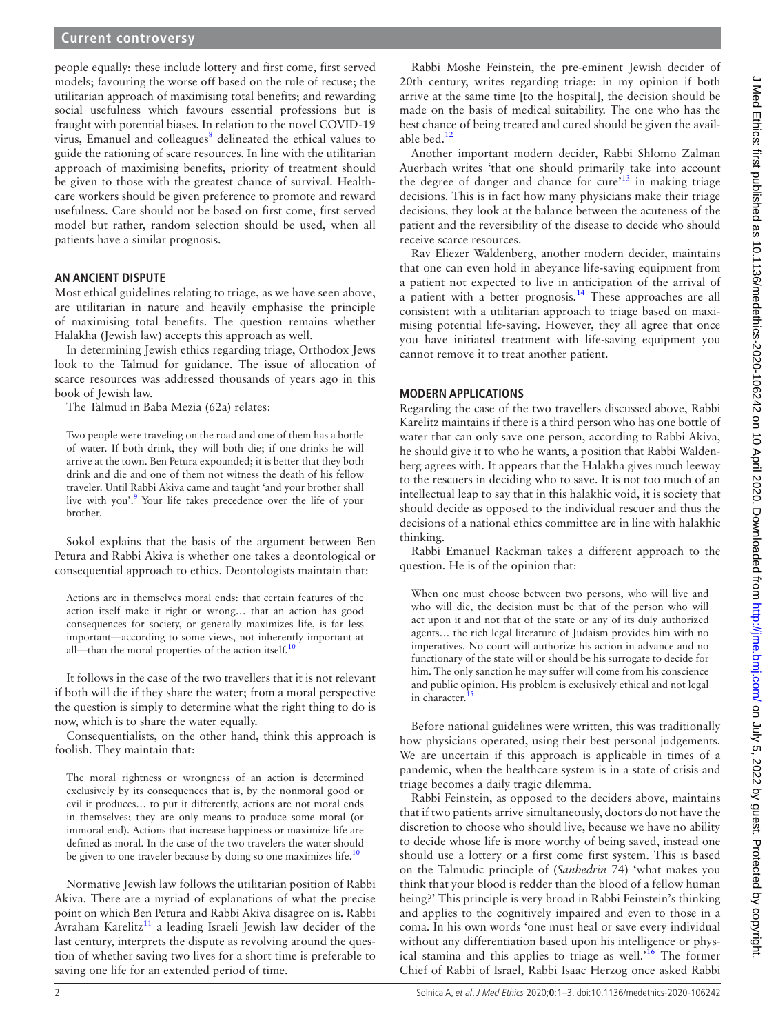## **Current controversy**

people equally: these include lottery and first come, first served models; favouring the worse off based on the rule of recuse; the utilitarian approach of maximising total benefits; and rewarding social usefulness which favours essential professions but is fraught with potential biases. In relation to the novel COVID-19 virus, Emanuel and colleagues<sup>8</sup> delineated the ethical values to guide the rationing of scare resources. In line with the utilitarian approach of maximising benefits, priority of treatment should be given to those with the greatest chance of survival. Healthcare workers should be given preference to promote and reward usefulness. Care should not be based on first come, first served model but rather, random selection should be used, when all patients have a similar prognosis.

### **An ancient dispute**

Most ethical guidelines relating to triage, as we have seen above, are utilitarian in nature and heavily emphasise the principle of maximising total benefits. The question remains whether Halakha (Jewish law) accepts this approach as well.

In determining Jewish ethics regarding triage, Orthodox Jews look to the Talmud for guidance. The issue of allocation of scarce resources was addressed thousands of years ago in this book of Jewish law.

The Talmud in Baba Mezia (62a) relates:

Two people were traveling on the road and one of them has a bottle of water. If both drink, they will both die; if one drinks he will arrive at the town. Ben Petura expounded; it is better that they both drink and die and one of them not witness the death of his fellow traveler. Until Rabbi Akiva came and taught 'and your brother shall live with you'.<sup>[9](#page-2-8)</sup> Your life takes precedence over the life of your brother.

Sokol explains that the basis of the argument between Ben Petura and Rabbi Akiva is whether one takes a deontological or consequential approach to ethics. Deontologists maintain that:

Actions are in themselves moral ends: that certain features of the action itself make it right or wrong… that an action has good consequences for society, or generally maximizes life, is far less important—according to some views, not inherently important at all—than the moral properties of the action itself.<sup>10</sup>

It follows in the case of the two travellers that it is not relevant if both will die if they share the water; from a moral perspective the question is simply to determine what the right thing to do is now, which is to share the water equally.

Consequentialists, on the other hand, think this approach is foolish. They maintain that:

The moral rightness or wrongness of an action is determined exclusively by its consequences that is, by the nonmoral good or evil it produces… to put it differently, actions are not moral ends in themselves; they are only means to produce some moral (or immoral end). Actions that increase happiness or maximize life are defined as moral. In the case of the two travelers the water should be given to one traveler because by doing so one maximizes life. $10$ 

Normative Jewish law follows the utilitarian position of Rabbi Akiva. There are a myriad of explanations of what the precise point on which Ben Petura and Rabbi Akiva disagree on is. Rabbi Avraham Karelitz<sup>11</sup> a leading Israeli Jewish law decider of the last century, interprets the dispute as revolving around the question of whether saving two lives for a short time is preferable to saving one life for an extended period of time.

Rabbi Moshe Feinstein, the pre-eminent Jewish decider of 20th century, writes regarding triage: in my opinion if both arrive at the same time [to the hospital], the decision should be made on the basis of medical suitability. The one who has the best chance of being treated and cured should be given the available bed. $12$ 

Another important modern decider, Rabbi Shlomo Zalman Auerbach writes 'that one should primarily take into account the degree of danger and chance for cure<sup> $13$ </sup> in making triage decisions. This is in fact how many physicians make their triage decisions, they look at the balance between the acuteness of the patient and the reversibility of the disease to decide who should receive scarce resources.

Rav Eliezer Waldenberg, another modern decider, maintains that one can even hold in abeyance life-saving equipment from a patient not expected to live in anticipation of the arrival of a patient with a better prognosis.<sup>[14](#page-2-13)</sup> These approaches are all consistent with a utilitarian approach to triage based on maximising potential life-saving. However, they all agree that once you have initiated treatment with life-saving equipment you cannot remove it to treat another patient.

#### **Modern applications**

Regarding the case of the two travellers discussed above, Rabbi Karelitz maintains if there is a third person who has one bottle of water that can only save one person, according to Rabbi Akiva, he should give it to who he wants, a position that Rabbi Waldenberg agrees with. It appears that the Halakha gives much leeway to the rescuers in deciding who to save. It is not too much of an intellectual leap to say that in this halakhic void, it is society that should decide as opposed to the individual rescuer and thus the decisions of a national ethics committee are in line with halakhic thinking.

Rabbi Emanuel Rackman takes a different approach to the question. He is of the opinion that:

When one must choose between two persons, who will live and who will die, the decision must be that of the person who will act upon it and not that of the state or any of its duly authorized agents… the rich legal literature of Judaism provides him with no imperatives. No court will authorize his action in advance and no functionary of the state will or should be his surrogate to decide for him. The only sanction he may suffer will come from his conscience and public opinion. His problem is exclusively ethical and not legal in character.<sup>15</sup>

Before national guidelines were written, this was traditionally how physicians operated, using their best personal judgements. We are uncertain if this approach is applicable in times of a pandemic, when the healthcare system is in a state of crisis and triage becomes a daily tragic dilemma.

Rabbi Feinstein, as opposed to the deciders above, maintains that if two patients arrive simultaneously, doctors do not have the discretion to choose who should live, because we have no ability to decide whose life is more worthy of being saved, instead one should use a lottery or a first come first system. This is based on the Talmudic principle of (*Sanhedrin* 74) 'what makes you think that your blood is redder than the blood of a fellow human being?' This principle is very broad in Rabbi Feinstein's thinking and applies to the cognitively impaired and even to those in a coma. In his own words 'one must heal or save every individual without any differentiation based upon his intelligence or physical stamina and this applies to triage as well.<sup>16</sup> The former Chief of Rabbi of Israel, Rabbi Isaac Herzog once asked Rabbi